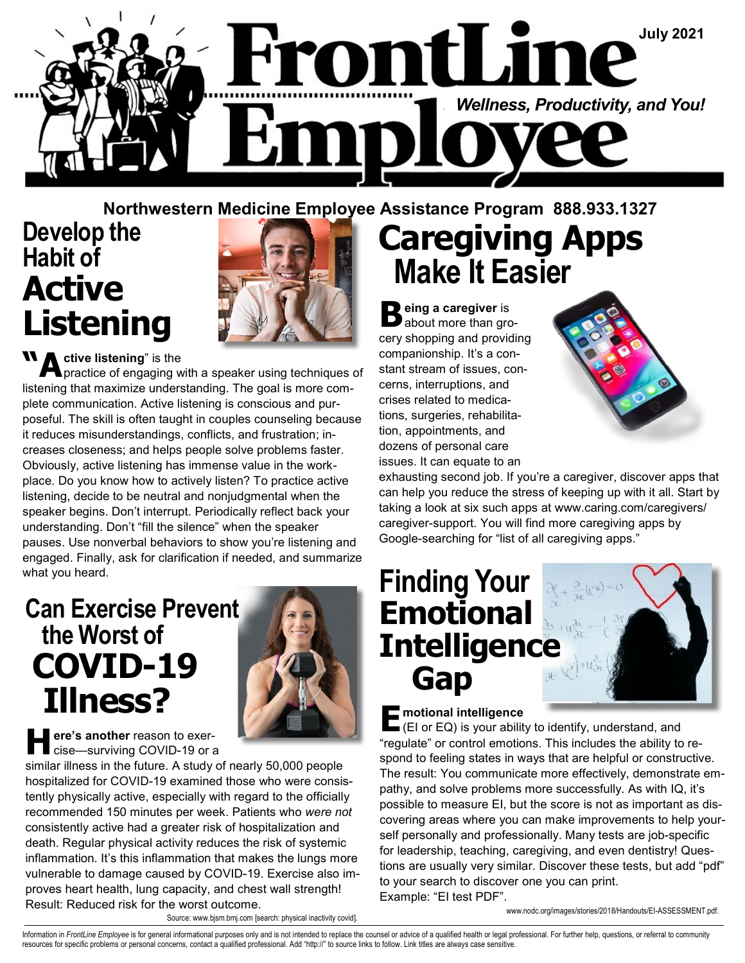

### Northwestern Medicine Employee Assistance Program 888.933.1327

## Develop the Habit of Active Listening



**A** ctive listening" is the **A** practice of engaging with a speaker using techniques of listening that maximize understanding. The goal is more complete communication. Active listening is conscious and purposeful. The skill is often taught in couples counseling because it reduces misunderstandings, conflicts, and frustration; increases closeness; and helps people solve problems faster. Obviously, active listening has immense value in the workplace. Do you know how to actively listen? To practice active listening, decide to be neutral and nonjudgmental when the speaker begins. Don't interrupt. Periodically reflect back your understanding. Don't "fill the silence" when the speaker pauses. Use nonverbal behaviors to show you're listening and engaged. Finally, ask for clarification if needed, and summarize what you heard.

### Can Exercise Prevent the Worst of COVID-19 Illness?



ere's another reason to exercise—surviving COVID-19 or a

similar illness in the future. A study of nearly 50,000 people hospitalized for COVID-19 examined those who were consistently physically active, especially with regard to the officially recommended 150 minutes per week. Patients who were not consistently active had a greater risk of hospitalization and death. Regular physical activity reduces the risk of systemic inflammation. It's this inflammation that makes the lungs more vulnerable to damage caused by COVID-19. Exercise also improves heart health, lung capacity, and chest wall strength! Result: Reduced risk for the worst outcome.

# Caregiving Apps Make It Easier

**B** eing a caregiver is<br> **B** about more than grocery shopping and providing companionship. It's a constant stream of issues, concerns, interruptions, and crises related to medications, surgeries, rehabilitation, appointments, and dozens of personal care issues. It can equate to an



exhausting second job. If you're a caregiver, discover apps that can help you reduce the stress of keeping up with it all. Start by taking a look at six such apps at www.caring.com/caregivers/ caregiver-support. You will find more caregiving apps by Google-searching for "list of all caregiving apps."

### Finding Your Emotional **Intelligence** Gap



E motional intelligence (EI or EQ) is your ability to identify, understand, and "regulate" or control emotions. This includes the ability to respond to feeling states in ways that are helpful or constructive. The result: You communicate more effectively, demonstrate empathy, and solve problems more successfully. As with IQ, it's possible to measure EI, but the score is not as important as discovering areas where you can make improvements to help yourself personally and professionally. Many tests are job-specific for leadership, teaching, caregiving, and even dentistry! Questions are usually very similar. Discover these tests, but add "pdf" to your search to discover one you can print. Example: "EI test PDF".

www.nodc.org/images/stories/2018/Handouts/EI-ASSESSMENT.pdf.

Source: www.bjsm.bmj.com [search: physical inactivity covid].

Information in FrontLine Employee is for general informational purposes only and is not intended to replace the counsel or advice of a qualified health or legal professional. For further help, questions, or referral to com resources for specific problems or personal concerns, contact a qualified professional. Add "http://" to source links to follow. Link titles are always case sensitive.